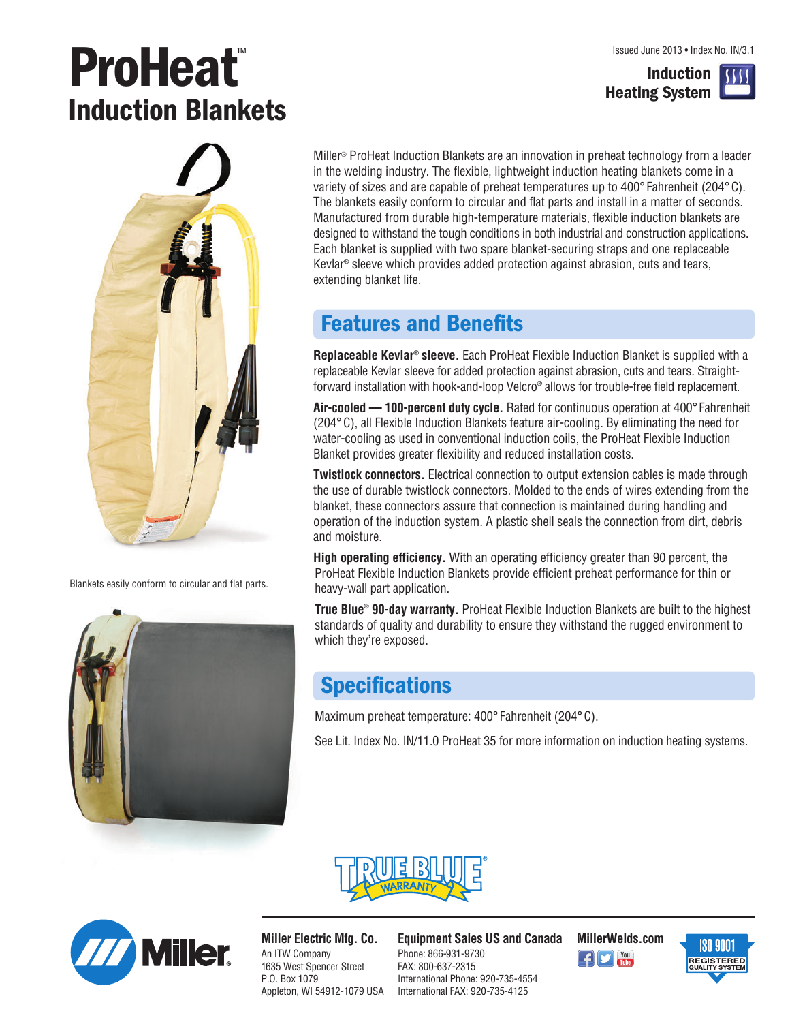**Induction Heating System**

# **ProHeat**™ **Induction Blankets**



Blankets easily conform to circular and flat parts.



Miller<sup>®</sup> ProHeat Induction Blankets are an innovation in preheat technology from a leader in the welding industry. The flexible, lightweight induction heating blankets come in a variety of sizes and are capable of preheat temperatures up to 400° Fahrenheit (204° C). The blankets easily conform to circular and flat parts and install in a matter of seconds. Manufactured from durable high-temperature materials, flexible induction blankets are designed to withstand the tough conditions in both industrial and construction applications. Each blanket is supplied with two spare blanket-securing straps and one replaceable Kevlar® sleeve which provides added protection against abrasion, cuts and tears, extending blanket life.

### **Features and Benefits**

**Replaceable Kevlar**® **sleeve.** Each ProHeat Flexible Induction Blanket is supplied with a replaceable Kevlar sleeve for added protection against abrasion, cuts and tears. Straightforward installation with hook-and-loop Velcro® allows for trouble-free field replacement.

**Air-cooled — 100-percent duty cycle.** Rated for continuous operation at 400°Fahrenheit (204° C), all Flexible Induction Blankets feature air-cooling. By eliminating the need for water-cooling as used in conventional induction coils, the ProHeat Flexible Induction Blanket provides greater flexibility and reduced installation costs.

**Twistlock connectors.** Electrical connection to output extension cables is made through the use of durable twistlock connectors. Molded to the ends of wires extending from the blanket, these connectors assure that connection is maintained during handling and operation of the induction system. A plastic shell seals the connection from dirt, debris and moisture.

**High operating efficiency.** With an operating efficiency greater than 90 percent, the ProHeat Flexible Induction Blankets provide efficient preheat performance for thin or heavy-wall part application.

**True Blue**® **90-day warranty.** ProHeat Flexible Induction Blankets are built to the highest standards of quality and durability to ensure they withstand the rugged environment to which they're exposed.

### **Specifications**

Maximum preheat temperature: 400° Fahrenheit (204° C).

See Lit. Index No. IN/11.0 ProHeat 35 for more information on induction heating systems.





**Miller Electric Mfg. Co.** An ITW Company 1635 West Spencer Street P.O. Box 1079 Appleton, WI 54912-1079 USA

**Equipment Sales US and Canada MillerWelds.com** Phone: 866-931-9730 FAX: 800-637-2315 International Phone: 920-735-4554 International FAX: 920-735-4125



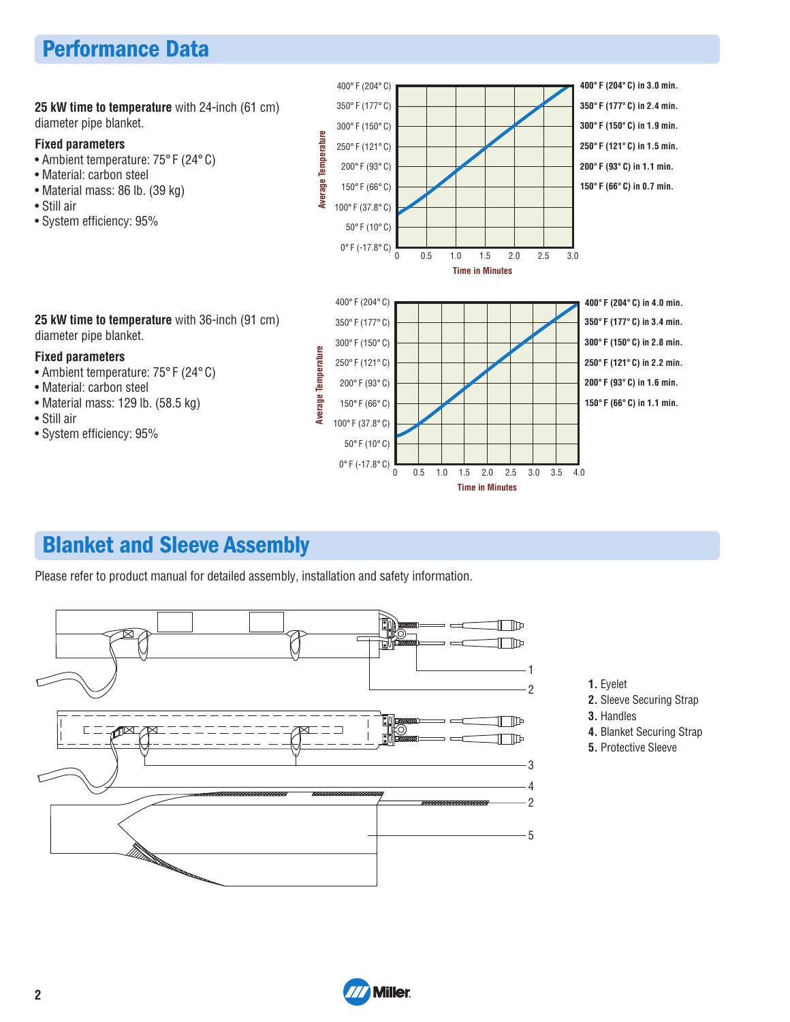## **Performance Data**

400° F (204° C) **400° F (204° C) in 3.0 min.** 350° F (177° C) **350° F (177° C) in 2.4 min. 25 kW time to temperature** with 24-inch (61 cm) diameter pipe blanket. 300° F (150° C) **300° F (150° C) in 1.9 min.** Average Temperature **Average Temperature Fixed parameters** 250° F (121° C) **250° F (121° C) in 1.5 min.** • Ambient temperature: 75° F (24° C) **200° F (93° C) in 1.1 min.** 200° F (93° C) • Material: carbon steel **150° F (66° C) in 0.7 min.** 150° F (66° C) • Material mass: 86 lb. (39 kg) • Still air 100° F (37.8° C) • System efficiency: 95% 50° F (10° C) 0° F (-17.8° C) 0 0.5 1.5 2.5 1.0 2.0 3.0 **Time in Minutes** 400° F (204° C) **400° F (204° C) in 4.0 min. 25 kW time to temperature** with 36-inch (91 cm) **350° F (177° C) in 3.4 min.** 350° F (177° C) diameter pipe blanket. **300° F (150° C) in 2.8 min.** 300° F (150° C) Average Temperature **Average Temperature Fixed parameters 250° F (121° C) in 2.2 min.** 250° F (121° C) • Ambient temperature: 75° F (24° C) **200° F (93° C) in 1.6 min.** 200° F (93° C) • Material: carbon steel • Material mass: 129 lb. (58.5 kg) 150° F (66° C) **150° F (66° C) in 1.1 min.** • Still air 100° F (37.8° C) • System efficiency: 95% 50° F (10° C)

 $0^{\circ}$  F (-17.8° C)  $0$  0.5 1.0 1.5 2.0 2.5 3.0 3.5 4.0

**Time in Minutes**

### **Blanket and Sleeve Assembly**

Please refer to product manual for detailed assembly, installation and safety information.



- **1.** Eyelet
- **2.** Sleeve Securing Strap
- **3.** Handles
- **4.** Blanket Securing Strap
- **5.** Protective Sleeve

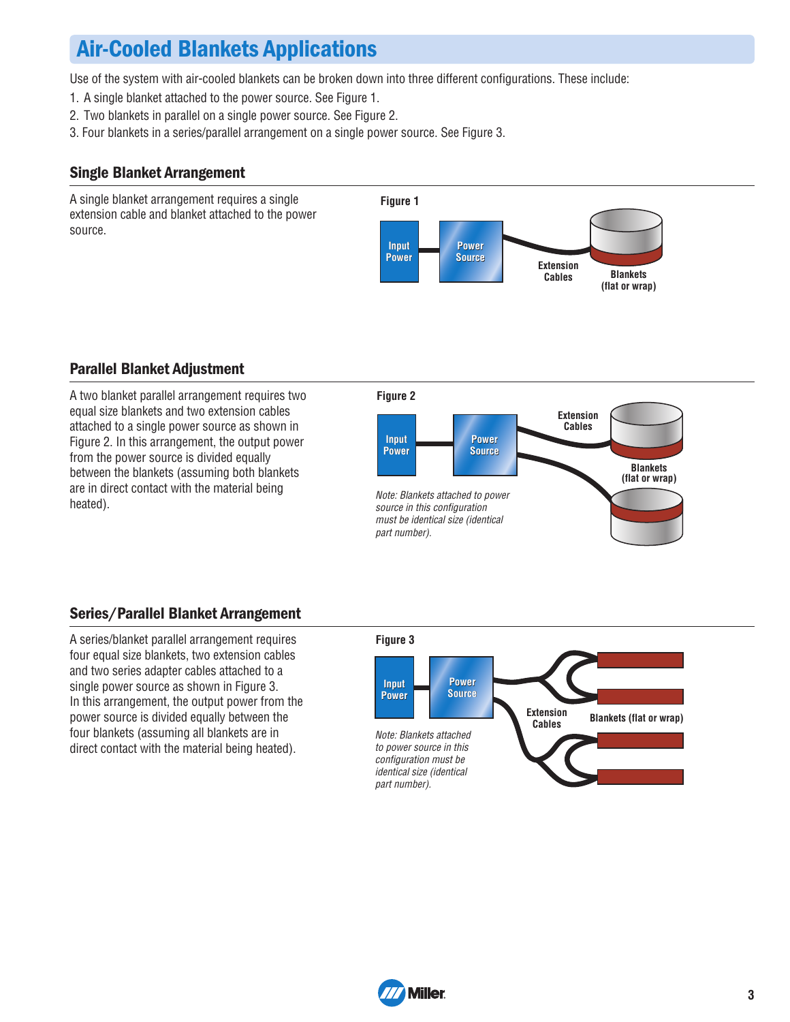## **Air-Cooled Blankets Applications**

Use of the system with air-cooled blankets can be broken down into three different configurations. These include:

- 1. A single blanket attached to the power source. See Figure 1.
- 2. Two blankets in parallel on a single power source. See Figure 2.
- 3. Four blankets in a series/parallel arrangement on a single power source. See Figure 3.

#### **Single Blanket Arrangement**

A single blanket arrangement requires a single extension cable and blanket attached to the power source.



#### **Parallel Blanket Adjustment**

A two blanket parallel arrangement requires two equal size blankets and two extension cables attached to a single power source as shown in Figure 2. In this arrangement, the output power from the power source is divided equally between the blankets (assuming both blankets are in direct contact with the material being heated).



### **Series/Parallel Blanket Arrangement**

A series/blanket parallel arrangement requires four equal size blankets, two extension cables and two series adapter cables attached to a single power source as shown in Figure 3. In this arrangement, the output power from the power source is divided equally between the four blankets (assuming all blankets are in direct contact with the material being heated).